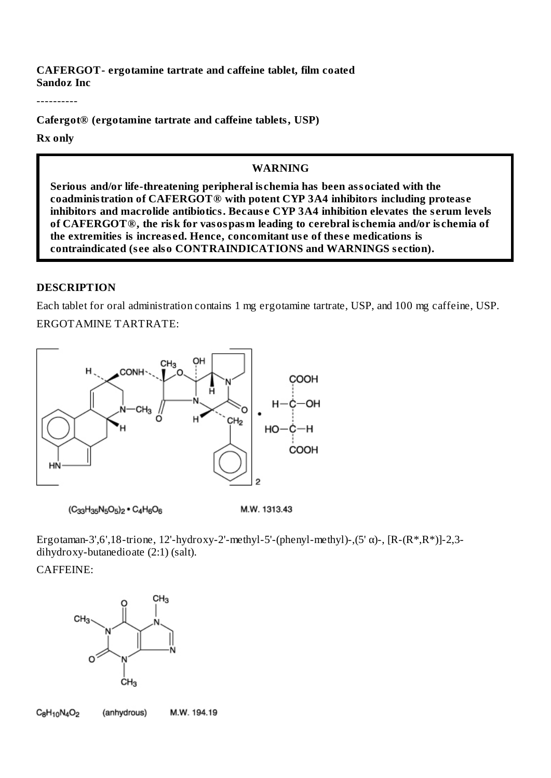**CAFERGOT- ergotamine tartrate and caffeine tablet, film coated Sandoz Inc**

----------

**Cafergot® (ergotamine tartrate and caffeine tablets, USP)**

**Rx only**

#### **WARNING**

**Serious and/or life-threatening peripheral ischemia has been associated with the coadministration of CAFERGOT® with potent CYP 3A4 inhibitors including protease inhibitors and macrolide antibiotics. Because CYP 3A4 inhibition elevates the s erum levels of CAFERGOT®, the risk for vasospasm leading to cerebral ischemia and/or ischemia of the extremities is increased. Hence, concomitant use of these medications is contraindicated (see also CONTRAINDICATIONS and WARNINGS section).**

#### **DESCRIPTION**

Each tablet for oral administration contains 1 mg ergotamine tartrate, USP, and 100 mg caffeine, USP. ERGOTAMINE TARTRATE:



 $(C_{33}H_{35}N_5O_5)_2$  •  $C_4H_6O_6$ 

M.W. 1313.43

Ergotaman-3',6',18-trione, 12'-hydroxy-2'-methyl-5'-(phenyl-methyl)-,(5'  $\alpha$ )-, [R-(R\*,R\*)]-2,3dihydroxy-butanedioate (2:1) (salt).

#### CAFFEINE:



 $C_8H_{10}N_4O_2$ (anhydrous) M.W. 194.19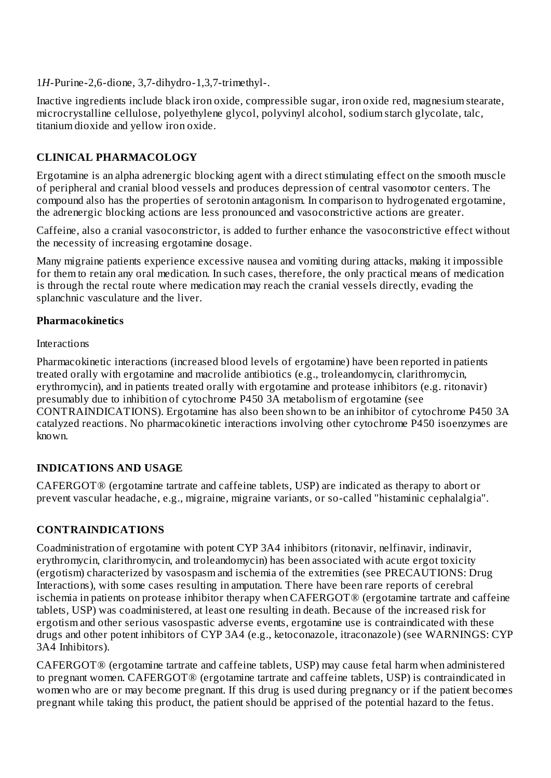1*H*-Purine-2,6-dione, 3,7-dihydro-1,3,7-trimethyl-.

Inactive ingredients include black iron oxide, compressible sugar, iron oxide red, magnesium stearate, microcrystalline cellulose, polyethylene glycol, polyvinyl alcohol, sodium starch glycolate, talc, titanium dioxide and yellow iron oxide.

# **CLINICAL PHARMACOLOGY**

Ergotamine is an alpha adrenergic blocking agent with a direct stimulating effect on the smooth muscle of peripheral and cranial blood vessels and produces depression of central vasomotor centers. The compound also has the properties of serotonin antagonism. In comparison to hydrogenated ergotamine, the adrenergic blocking actions are less pronounced and vasoconstrictive actions are greater.

Caffeine, also a cranial vasoconstrictor, is added to further enhance the vasoconstrictive effect without the necessity of increasing ergotamine dosage.

Many migraine patients experience excessive nausea and vomiting during attacks, making it impossible for them to retain any oral medication. In such cases, therefore, the only practical means of medication is through the rectal route where medication may reach the cranial vessels directly, evading the splanchnic vasculature and the liver.

## **Pharmacokinetics**

Interactions

Pharmacokinetic interactions (increased blood levels of ergotamine) have been reported in patients treated orally with ergotamine and macrolide antibiotics (e.g., troleandomycin, clarithromycin, erythromycin), and in patients treated orally with ergotamine and protease inhibitors (e.g. ritonavir) presumably due to inhibition of cytochrome P450 3A metabolism of ergotamine (see CONTRAINDICATIONS). Ergotamine has also been shown to be an inhibitor of cytochrome P450 3A catalyzed reactions. No pharmacokinetic interactions involving other cytochrome P450 isoenzymes are known.

# **INDICATIONS AND USAGE**

CAFERGOT® (ergotamine tartrate and caffeine tablets, USP) are indicated as therapy to abort or prevent vascular headache, e.g., migraine, migraine variants, or so-called "histaminic cephalalgia".

## **CONTRAINDICATIONS**

Coadministration of ergotamine with potent CYP 3A4 inhibitors (ritonavir, nelfinavir, indinavir, erythromycin, clarithromycin, and troleandomycin) has been associated with acute ergot toxicity (ergotism) characterized by vasospasm and ischemia of the extremities (see PRECAUTIONS: Drug Interactions), with some cases resulting in amputation. There have been rare reports of cerebral ischemia in patients on protease inhibitor therapy when CAFERGOT® (ergotamine tartrate and caffeine tablets, USP) was coadministered, at least one resulting in death. Because of the increased risk for ergotism and other serious vasospastic adverse events, ergotamine use is contraindicated with these drugs and other potent inhibitors of CYP 3A4 (e.g., ketoconazole, itraconazole) (see WARNINGS: CYP 3A4 Inhibitors).

CAFERGOT® (ergotamine tartrate and caffeine tablets, USP) may cause fetal harm when administered to pregnant women. CAFERGOT® (ergotamine tartrate and caffeine tablets, USP) is contraindicated in women who are or may become pregnant. If this drug is used during pregnancy or if the patient becomes pregnant while taking this product, the patient should be apprised of the potential hazard to the fetus.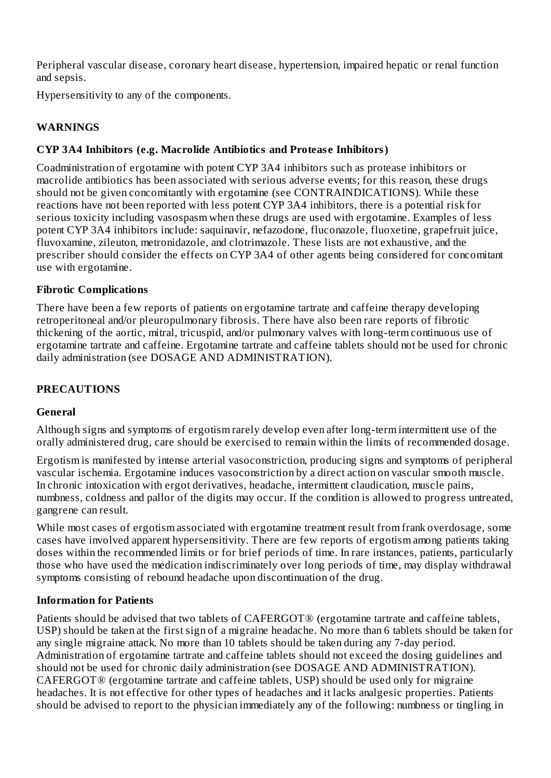Peripheral vascular disease, coronary heart disease, hypertension, impaired hepatic or renal function and sepsis.

Hypersensitivity to any of the components.

#### **WARNINGS**

## **CYP 3A4 Inhibitors (e.g. Macrolide Antibiotics and Protease Inhibitors)**

Coadministration of ergotamine with potent CYP 3A4 inhibitors such as protease inhibitors or macrolide antibiotics has been associated with serious adverse events; for this reason, these drugs should not be given concomitantly with ergotamine (see CONTRAINDICATIONS). While these reactions have not been reported with less potent CYP 3A4 inhibitors, there is a potential risk for serious toxicity including vasospasm when these drugs are used with ergotamine. Examples of less potent CYP 3A4 inhibitors include: saquinavir, nefazodone, fluconazole, fluoxetine, grapefruit juice, fluvoxamine, zileuton, metronidazole, and clotrimazole. These lists are not exhaustive, and the prescriber should consider the effects on CYP 3A4 of other agents being considered for concomitant use with ergotamine.

#### **Fibrotic Complications**

There have been a few reports of patients on ergotamine tartrate and caffeine therapy developing retroperitoneal and/or pleuropulmonary fibrosis. There have also been rare reports of fibrotic thickening of the aortic, mitral, tricuspid, and/or pulmonary valves with long-term continuous use of ergotamine tartrate and caffeine. Ergotamine tartrate and caffeine tablets should not be used for chronic daily administration (see DOSAGE AND ADMINISTRATION).

#### **PRECAUTIONS**

#### **General**

Although signs and symptoms of ergotism rarely develop even after long-term intermittent use of the orally administered drug, care should be exercised to remain within the limits of recommended dosage.

Ergotism is manifested by intense arterial vasoconstriction, producing signs and symptoms of peripheral vascular ischemia. Ergotamine induces vasoconstriction by a direct action on vascular smooth muscle. In chronic intoxication with ergot derivatives, headache, intermittent claudication, muscle pains, numbness, coldness and pallor of the digits may occur. If the condition is allowed to progress untreated, gangrene can result.

While most cases of ergotism associated with ergotamine treatment result from frank overdosage, some cases have involved apparent hypersensitivity. There are few reports of ergotism among patients taking doses within the recommended limits or for brief periods of time. In rare instances, patients, particularly those who have used the medication indiscriminately over long periods of time, may display withdrawal symptoms consisting of rebound headache upon discontinuation of the drug.

#### **Information for Patients**

Patients should be advised that two tablets of CAFERGOT® (ergotamine tartrate and caffeine tablets, USP) should be taken at the first sign of a migraine headache. No more than 6 tablets should be taken for any single migraine attack. No more than 10 tablets should be taken during any 7-day period. Administration of ergotamine tartrate and caffeine tablets should not exceed the dosing guidelines and should not be used for chronic daily administration (see DOSAGE AND ADMINISTRATION). CAFERGOT® (ergotamine tartrate and caffeine tablets, USP) should be used only for migraine headaches. It is not effective for other types of headaches and it lacks analgesic properties. Patients should be advised to report to the physician immediately any of the following: numbness or tingling in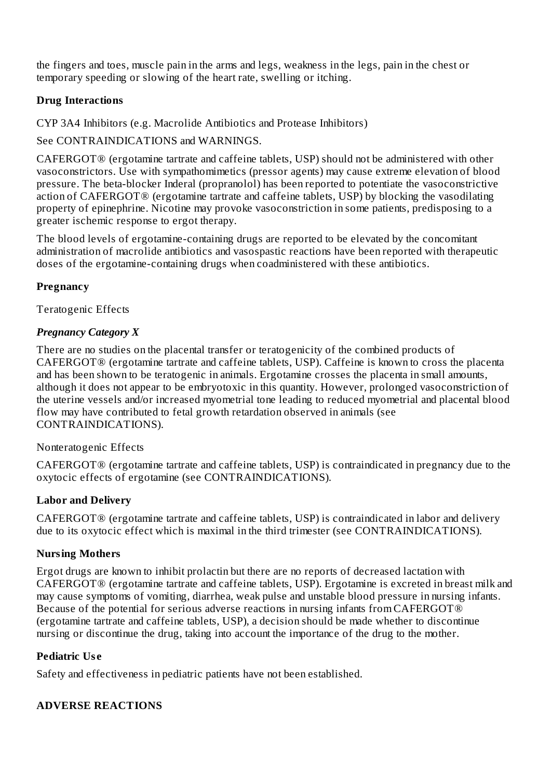the fingers and toes, muscle pain in the arms and legs, weakness in the legs, pain in the chest or temporary speeding or slowing of the heart rate, swelling or itching.

## **Drug Interactions**

CYP 3A4 Inhibitors (e.g. Macrolide Antibiotics and Protease Inhibitors)

See CONTRAINDICATIONS and WARNINGS.

CAFERGOT® (ergotamine tartrate and caffeine tablets, USP) should not be administered with other vasoconstrictors. Use with sympathomimetics (pressor agents) may cause extreme elevation of blood pressure. The beta-blocker Inderal (propranolol) has been reported to potentiate the vasoconstrictive action of CAFERGOT® (ergotamine tartrate and caffeine tablets, USP) by blocking the vasodilating property of epinephrine. Nicotine may provoke vasoconstriction in some patients, predisposing to a greater ischemic response to ergot therapy.

The blood levels of ergotamine-containing drugs are reported to be elevated by the concomitant administration of macrolide antibiotics and vasospastic reactions have been reported with therapeutic doses of the ergotamine-containing drugs when coadministered with these antibiotics.

# **Pregnancy**

Teratogenic Effects

## *Pregnancy Category X*

There are no studies on the placental transfer or teratogenicity of the combined products of CAFERGOT® (ergotamine tartrate and caffeine tablets, USP). Caffeine is known to cross the placenta and has been shown to be teratogenic in animals. Ergotamine crosses the placenta in small amounts, although it does not appear to be embryotoxic in this quantity. However, prolonged vasoconstriction of the uterine vessels and/or increased myometrial tone leading to reduced myometrial and placental blood flow may have contributed to fetal growth retardation observed in animals (see CONTRAINDICATIONS).

## Nonteratogenic Effects

CAFERGOT® (ergotamine tartrate and caffeine tablets, USP) is contraindicated in pregnancy due to the oxytocic effects of ergotamine (see CONTRAINDICATIONS).

## **Labor and Delivery**

CAFERGOT® (ergotamine tartrate and caffeine tablets, USP) is contraindicated in labor and delivery due to its oxytocic effect which is maximal in the third trimester (see CONTRAINDICATIONS).

## **Nursing Mothers**

Ergot drugs are known to inhibit prolactin but there are no reports of decreased lactation with CAFERGOT® (ergotamine tartrate and caffeine tablets, USP). Ergotamine is excreted in breast milk and may cause symptoms of vomiting, diarrhea, weak pulse and unstable blood pressure in nursing infants. Because of the potential for serious adverse reactions in nursing infants from CAFERGOT® (ergotamine tartrate and caffeine tablets, USP), a decision should be made whether to discontinue nursing or discontinue the drug, taking into account the importance of the drug to the mother.

## **Pediatric Use**

Safety and effectiveness in pediatric patients have not been established.

## **ADVERSE REACTIONS**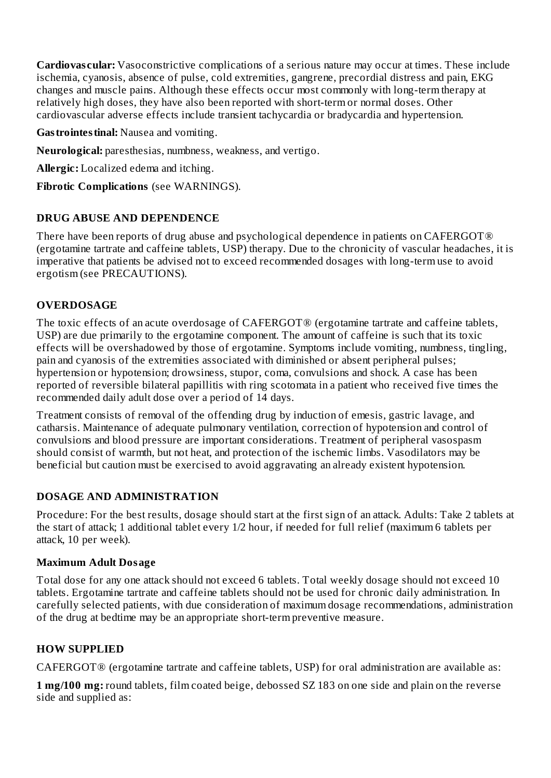**Cardiovascular:** Vasoconstrictive complications of a serious nature may occur at times. These include ischemia, cyanosis, absence of pulse, cold extremities, gangrene, precordial distress and pain, EKG changes and muscle pains. Although these effects occur most commonly with long-term therapy at relatively high doses, they have also been reported with short-term or normal doses. Other cardiovascular adverse effects include transient tachycardia or bradycardia and hypertension.

**Gastrointestinal:** Nausea and vomiting.

**Neurological:** paresthesias, numbness, weakness, and vertigo.

**Allergic:** Localized edema and itching.

**Fibrotic Complications** (see WARNINGS).

#### **DRUG ABUSE AND DEPENDENCE**

There have been reports of drug abuse and psychological dependence in patients on CAFERGOT® (ergotamine tartrate and caffeine tablets, USP) therapy. Due to the chronicity of vascular headaches, it is imperative that patients be advised not to exceed recommended dosages with long-term use to avoid ergotism (see PRECAUTIONS).

#### **OVERDOSAGE**

The toxic effects of an acute overdosage of CAFERGOT® (ergotamine tartrate and caffeine tablets, USP) are due primarily to the ergotamine component. The amount of caffeine is such that its toxic effects will be overshadowed by those of ergotamine. Symptoms include vomiting, numbness, tingling, pain and cyanosis of the extremities associated with diminished or absent peripheral pulses; hypertension or hypotension; drowsiness, stupor, coma, convulsions and shock. A case has been reported of reversible bilateral papillitis with ring scotomata in a patient who received five times the recommended daily adult dose over a period of 14 days.

Treatment consists of removal of the offending drug by induction of emesis, gastric lavage, and catharsis. Maintenance of adequate pulmonary ventilation, correction of hypotension and control of convulsions and blood pressure are important considerations. Treatment of peripheral vasospasm should consist of warmth, but not heat, and protection of the ischemic limbs. Vasodilators may be beneficial but caution must be exercised to avoid aggravating an already existent hypotension.

## **DOSAGE AND ADMINISTRATION**

Procedure: For the best results, dosage should start at the first sign of an attack. Adults: Take 2 tablets at the start of attack; 1 additional tablet every 1/2 hour, if needed for full relief (maximum 6 tablets per attack, 10 per week).

#### **Maximum Adult Dosage**

Total dose for any one attack should not exceed 6 tablets. Total weekly dosage should not exceed 10 tablets. Ergotamine tartrate and caffeine tablets should not be used for chronic daily administration. In carefully selected patients, with due consideration of maximum dosage recommendations, administration of the drug at bedtime may be an appropriate short-term preventive measure.

#### **HOW SUPPLIED**

CAFERGOT® (ergotamine tartrate and caffeine tablets, USP) for oral administration are available as:

**1 mg/100 mg:** round tablets, film coated beige, debossed SZ 183 on one side and plain on the reverse side and supplied as: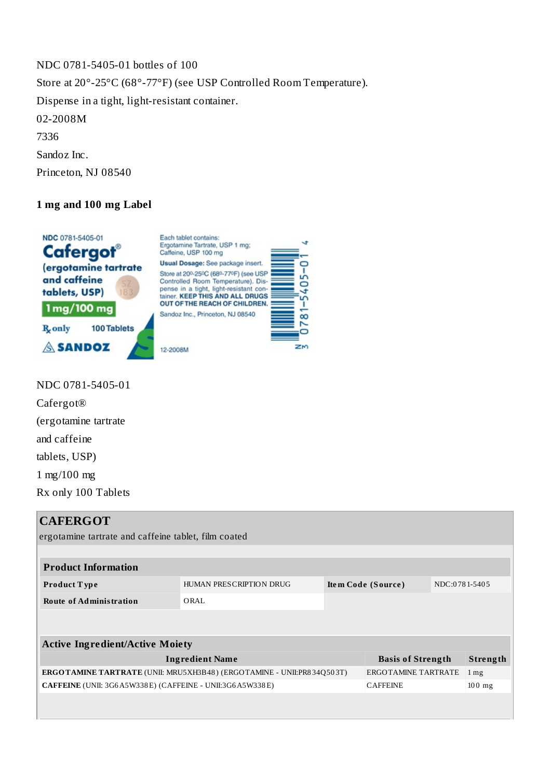NDC 0781-5405-01 bottles of 100 Store at 20°-25°C (68°-77°F) (see USP Controlled Room Temperature). Dispense in a tight, light-resistant container. 02-2008M 7336 Sandoz Inc.

Princeton, NJ 08540

#### **1 mg and 100 mg Label**



NDC 0781-5405-01 Cafergot® (ergotamine tartrate and caffeine tablets, USP) 1 mg/100 mg Rx only 100 Tablets

## **CAFERGOT**

ergotamine tartrate and caffeine tablet, film coated

| <b>Product Information</b>                                                   |                         |                    |                          |               |                   |  |  |  |  |  |
|------------------------------------------------------------------------------|-------------------------|--------------------|--------------------------|---------------|-------------------|--|--|--|--|--|
| Product Type                                                                 | HUMAN PRESCRIPTION DRUG | Item Code (Source) |                          | NDC:0781-5405 |                   |  |  |  |  |  |
| <b>Route of Administration</b>                                               | ORAL.                   |                    |                          |               |                   |  |  |  |  |  |
|                                                                              |                         |                    |                          |               |                   |  |  |  |  |  |
| <b>Active Ingredient/Active Moiety</b>                                       |                         |                    |                          |               |                   |  |  |  |  |  |
| <b>Ingredient Name</b>                                                       |                         |                    | <b>Basis of Strength</b> |               | Strength          |  |  |  |  |  |
| <b>ERGOTAMINE TARTRATE</b> (UNII: MRU5XH3B48) (ERGOTAMINE - UNII:PR834Q503T) |                         |                    | ERGOTAMINE TARTRATE      |               | $1 \,\mathrm{mg}$ |  |  |  |  |  |
| CAFFEINE (UNII: 3G6A5W338E) (CAFFEINE - UNII:3G6A5W338E)                     |                         |                    | <b>CAFFEINE</b>          |               | $100$ mg          |  |  |  |  |  |
|                                                                              |                         |                    |                          |               |                   |  |  |  |  |  |